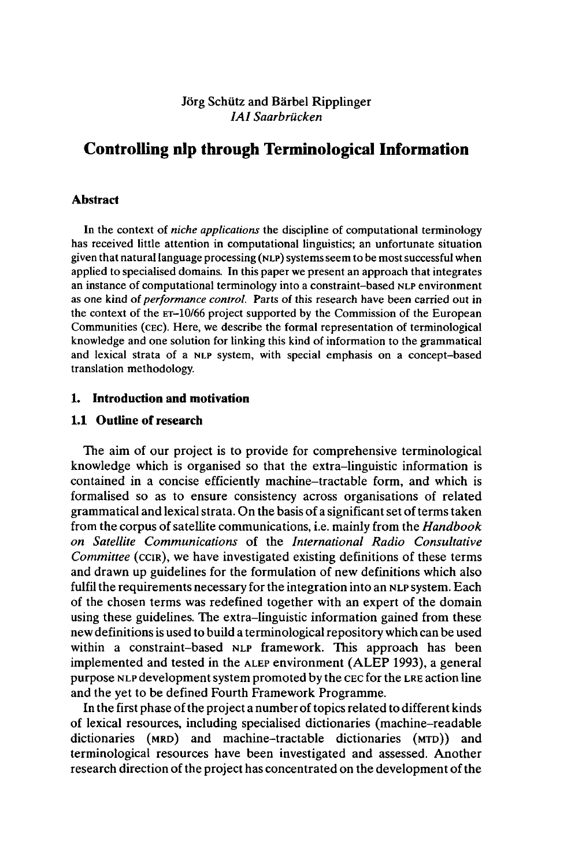## Jörg Schütz and Bärbel Ripplinger *IAI Saarbrücken*

# **Controlling nip through Terminological Information**

## **Abstract**

In the context of *niche applications* the discipline of computational terminology has received little attention in computational linguistics; an unfortunate situation given that naturallanguage processing (NLP) systemsseem to be mostsuccessful when applied to specialised domains. In this paper we present an approach that integrates an instance of computational terminology into a constraint-based NLP environment as one kind of *performance control.* Parts of this research have been carried out in the context of the ET-10/66 project supported by the Commission of the European Communities (CEC). Here, we describe the formal representation of terminological knowledge and one solution for linking this kind of information to the grammatical and lexical strata of a NLP system, with special emphasis on a concept-based translation methodology.

## **1. Introduction and motivation**

#### **1.1 Outline of research**

The aim of our project is to provide for comprehensive terminological knowledge which is organised so that the extra-linguistic information is contained in a concise efficiently machine-tractable form, and which is formalised so as to ensure consistency across organisations of related grammatical and lexical strata. On the basis of a significant set of terms taken from the corpus ofsatellite communications, i.e. mainly from the *Handbook on Satellite Communications* of the *International Radio Consultative Committee* (CCIR), we have investigated existing definitions of these terms and drawn up guidelines for the formulation of new definitions which also fulfil the requirements necessary for the integration into an NLP system. Each of the chosen terms was redefined together with an expert of the domain using these guidelines. The extra-linguistic information gained from these new definitions is used to build a terminological repository which can be used within a constraint-based NLP framework. This approach has been implemented and tested in the ALEP environment (ALEP 1993), a general purpose NLP developmentsystem promoted by the CEC for the LRE action line and the yet to be defined Fourth Framework Programme.

In the first phase of the project a number of topics related to different kinds of lexical resources, including specialised dictionaries (machine-readable dictionaries (MRD) and machine-tractable dictionaries (MTD)) and terminological resources have been investigated and assessed. Another research direction of the project has concentrated on the development of the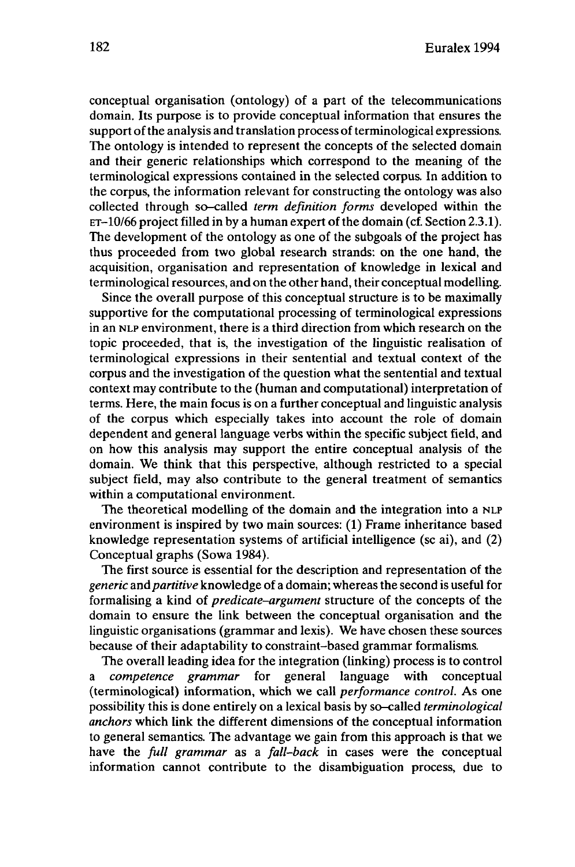conceptual organisation (ontology) of a part of the telecommunications domain. Its purpose is to provide conceptual information that ensures the support of the analysis and translation process of terminological expressions. The ontology is intended to represent the concepts of the selected domain and their generic relationships which correspond to the meaning of the terminological expressions contained in the selected corpus. In addition to the corpus, the information relevant for constructing the ontology was also collected through so-called *term definition forms* developed within the  $ET-10/66$  project filled in by a human expert of the domain (cf. Section 2.3.1). The development of the ontology as one of the subgoals of the project has thus proceeded from two global research strands: on the one hand, the acquisition, organisation and representation of knowledge in lexical and terminological resources, and on the other hand, their conceptual modelling.

Since the overall purpose of this conceptual structure is to be maximally supportive for the computational processing of terminological expressions in an NLP environment, there is a third direction from which research on the topic proceeded, that is, the investigation of the linguistic realisation of terminological expressions in their sentential and textual context of the corpus and the investigation of the question what the sentential and textual context may contribute to the (human and computational) interpretation of terms. Here, the main focus is on a further conceptual and linguistic analysis of the corpus which especially takes into account the role of domain dependent and general language verbs within the specific subject field, and on how this analysis may support the entire conceptual analysis of the domain. We think that this perspective, although restricted to a special subject field, may also contribute to the general treatment of semantics within a computational environment.

The theoretical modelling of the domain and the integration into a NLP environment is inspired by two main sources: (1) Frame inheritance based knowledge representation systems of artificial intelligence (se ai), and (2) Conceptual graphs (Sowa 1984).

The first source is essential for the description and representation of the *generic* and*partitive* knowledge of a domain; whereas the second is useful for formalising a kind of *predicate-argument* structure of the concepts of the domain to ensure the link between the conceptual organisation and the linguistic organisations (grammar and lexis). We have chosen these sources because of their adaptability to constraint-based grammar formalisms.

The overall leading idea for the integration (linking) process is to control a *competence grammar* for general language with conceptual (terminological) information, which we call *performance control.* As one possibility this is done entirely on a lexical basis by so-called *terminological anchors* which link the different dimensions of the conceptual information to general semantics. The advantage we gain from this approach is that we have the *full grammar* as a *fall-back* in cases were the conceptual information cannot contribute to the disambiguation process, due to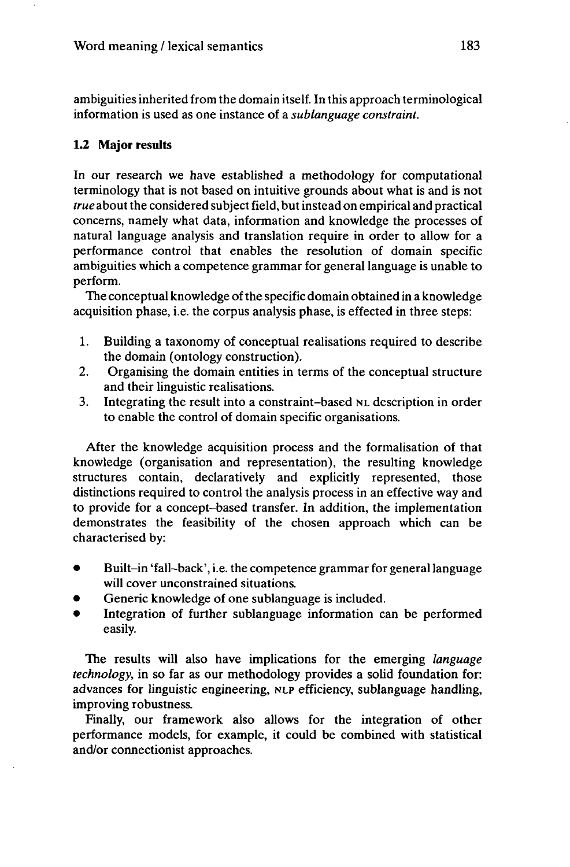ambiguities inherited from the domain itself. In this approach terminological information is used as one instance of a *sublanguage constraint.*

## **1.2 Major results**

In our research we have established a methodology for computational terminology that is not based on intuitive grounds about what is and is not *true* about the considered subject field, but instead on empirical and practical concerns, namely what data, information and knowledge the processes of natural language analysis and translation require in order to allow for a performance control that enables the resolution of domain specific ambiguities which a competence grammar for general language is unable to perform.

The conceptual knowledge of the specific domain obtained in a knowledge acquisition phase, i.e. the corpus analysis phase, is effected in three steps:

- 1. Building a taxonomy of conceptual realisations required to describe the domain (ontology construction).
- 2. Organising the domain entities in terms of the conceptual structure and their linguistic realisations.
- 3. Integrating the result into a constraint-based NL description in order to enable the control of domain specific organisations.

After the knowledge acquisition process and the formalisation of that knowledge (organisation and representation), the resulting knowledge structures contain, declaratively and explicitly represented, those distinctions required to control the analysis process in an effective way and to provide for a concept-based transfer. In addition, the implementation demonstrates the feasibility of the chosen approach which can be characterised by:

- Built-in 'fall-back', i.e. the competence grammar for general language will cover unconstrained situations.
- Generic knowledge of one sublanguage is included.
- Integration of further sublanguage information can be performed easily.

The results will also have implications for the emerging *language technology,* in so far as our methodology provides a solid foundation for: advances for linguistic engineering, NLP efficiency, sublanguage handling, improving robustness.

Finally, our framework also allows for the integration of other performance models, for example, it could be combined with statistical and/or connectionist approaches.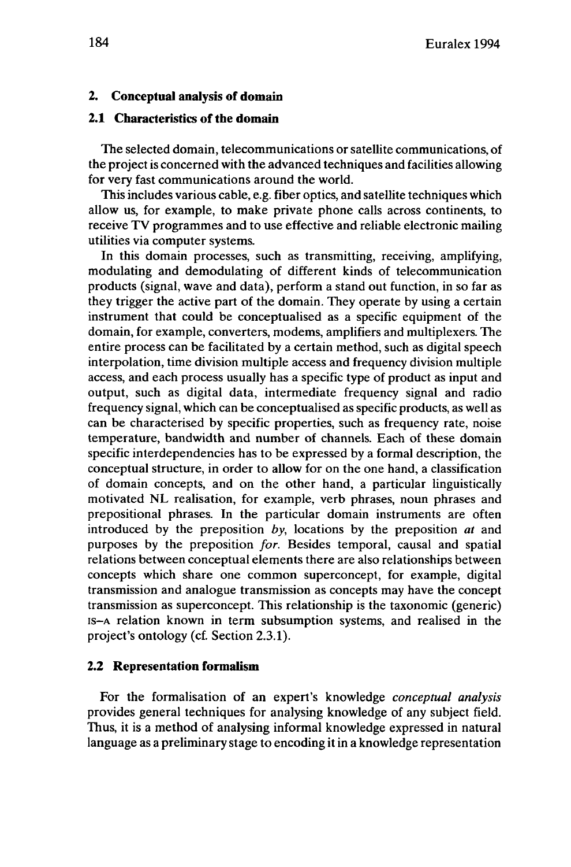#### **2. Conceptual analysis of domain**

#### **2.1 Characteristics of the domain**

The selected domain, telecommunications or satellite communications, of the projectis concerned with the advanced techniques and facilities allowing for very fast communications around the world.

This includes various cable, e.g. fiber optics, and satellite techniques which allow us, for example, to make private phone calls across continents, to receive TV programmes and to use effective and reliable electronic mailing utilities via computer systems.

In this domain processes, such as transmitting, receiving, amplifying, modulating and demodulating of different kinds of telecommunication products (signal, wave and data), perform a stand out function, in so far as they trigger the active part of the domain. They operate by using a certain instrument that could be conceptualised as a specific equipment of the domain, for example, converters, modems, amplifiers and multiplexers. The entire process can be facilitated by a certain method, such as digital speech interpolation, time division multiple access and frequency division multiple access, and each process usually has a specific type of product as input and output, such as digital data, intermediate frequency signal and radio frequency signal, which can be conceptualised as specific products, as well as can be characterised by specific properties, such as frequency rate, noise temperature, bandwidth and number of channels. Each of these domain specific interdependencies has to be expressed by a formal description, the conceptual structure, in order to allow for on the one hand, a classification of domain concepts, and on the other hand, a particular linguistically motivated NL realisation, for example, verb phrases, noun phrases and prepositional phrases. In the particular domain instruments are often introduced by the preposition *by,* locations by the preposition *at* and purposes by the preposition *for.* Besides temporal, causal and spatial relations between conceptual elements there are also relationships between concepts which share one common superconcept, for example, digital transmission and analogue transmission as concepts may have the concept transmission as superconcept. This relationship is the taxonomic (generic) is-A relation known in term subsumption systems, and realised in the project's ontology (cf. Section 2.3.1).

#### **2.2 Representation formalism**

For the formalisation of an expert's knowledge *conceptual analysis* provides general techniques for analysing knowledge of any subject field. Thus, it is a method of analysing informal knowledge expressed in natural language as a preliminary stage to encoding it in a knowledge representation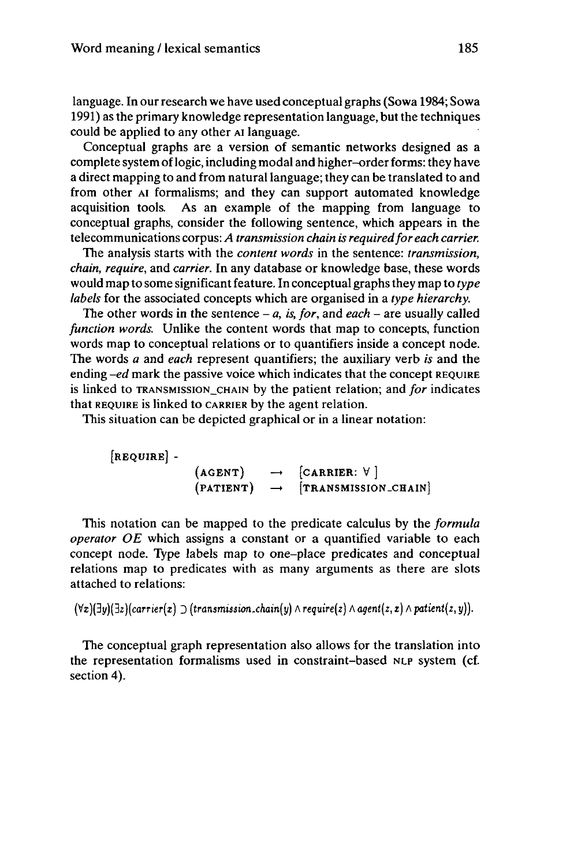language. In our research we have used conceptual graphs (Sowa 1984; Sowa 1991) as the primary knowledge representation language, butthe techniques could be applied to any other AI language.

Conceptual graphs are a version of semantic networks designed as a complete system of logic, including modal and higher-order forms: they have a direct mapping to and from naturallanguage; they can be translated to and from other AI formalisms; and they can support automated knowledge acquisition tools. As an example of the mapping from language to conceptual graphs, consider the following sentence, which appears in the telecommunications corpus: *A transmission chain is requiredfor each carrier.*

The analysis starts with the *content words* in the sentence: *transmission, chain, require,* and *carrier.* In any database or knowledge base, these words would map to some significant feature. In conceptual graphsthey map to *type labels* for the associated concepts which are organised in a *type hierarchy.*

The other words in the sentence  $- a$ , *is, for,* and *each*  $-$  are usually called *function words.* Unlike the content words that map to concepts, function words map to conceptual relations or to quantifiers inside a concept node. The words *a* and *each* represent quantifiers; the auxiliary verb *is* and the ending  $-e$ d mark the passive voice which indicates that the concept REQUIRE is linked to TRANSMISSION\_CHAIN by the patient relation; and *for* indicates that REQUIRE is linked to CARRIER by the agent relation.

This situation can be depicted graphical or in a linear notation:

[REQUIRE] -

 $(AGENT) \rightarrow [CARRIER: V]$  $(PATIENT)$   $\rightarrow$   $[TRANSMISSION\_CHAIN]$ 

This notation can be mapped to the predicate calculus by the *formula operator OE* which assigns a constant or a quantified variable to each concept node. Type labels map to one-place predicates and conceptual relations map to predicates with as many arguments as there are slots attached to relations:

 $(\forall x)(\exists y)(\exists z)(carrier(x) \supset (transmission-chain(y) \wedge require(z) \wedge agent(z, x) \wedge patient(z, y)).$ 

The conceptual graph representation also allows for the translation into the representation formalisms used in constraint-based NLP system (cf. section 4).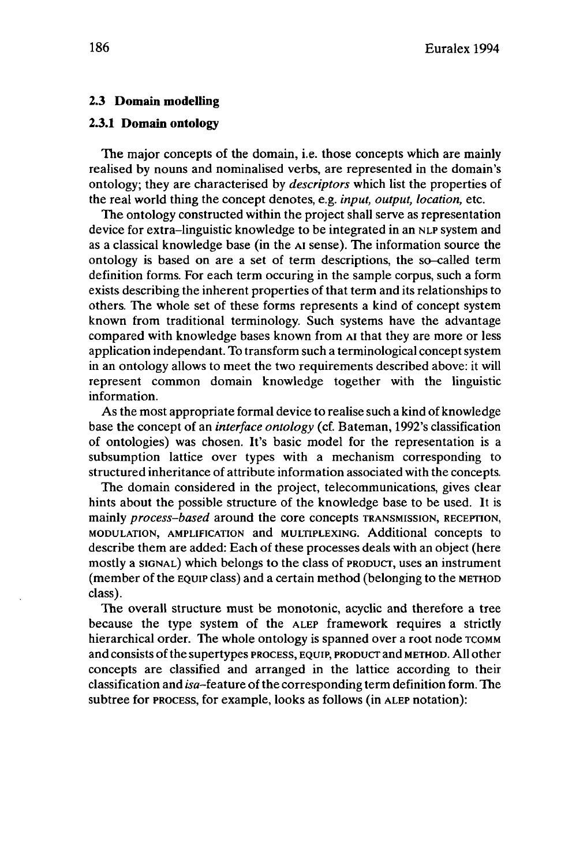#### **2.3 Domain modelling**

#### **23.1 Domain ontology**

The major concepts of the domain, i.e. those concepts which are mainly realised by nouns and nominalised verbs, are represented in the domain's ontology; they are characterised by *descriptors* which list the properties of the real world thing the concept denotes, e.g. *input, output, location,* etc.

The ontology constructed within the project shall serve as representation device for extra-linguistic knowledge to be integrated in an NLP system and as a classical knowledge base (in the AI sense). The information source the ontology is based on are a set of term descriptions, the so-called term definition forms. For each term occuring in the sample corpus, such a form exists describing the inherent properties of that term and its relationships to others. The whole set of these forms represents a kind of concept system known from traditional terminology. Such systems have the advantage compared with knowledge bases known from AI that they are more or less application indépendant. To transform such a terminological concept system in an ontology allows to meet the two requirements described above: it will represent common domain knowledge together with the linguistic information.

As the most appropriate formal device to realise such a kind of knowledge base the concept of an *interface ontology* (cf. Bateman, 1992's classification of ontologies) was chosen. It's basic model for the representation is a subsumption lattice over types with a mechanism corresponding to structured inheritance of attribute information associated with the concepts.

The domain considered in the project, telecommunications, gives clear hints about the possible structure of the knowledge base to be used. It is mainly *process-based* around the core concepts TRANSMISSION, RECEPTION, MODULATION, AMPLIFICATION and MULTIPLEXING. Additional concepts to describe them are added: Each of these processes deals with an object (here mostly a SIGNAL) which belongs to the class of PRODUCT, uses an instrument (member of the EQUIP class) and a certain method (belonging to the METHOD class).

The overall structure must be monotonie, acyclic and therefore a tree because the type system of the ALEP framework requires a strictly hierarchical order. The whole ontology is spanned over a root node TCOMM and consists of the supertypes PROCESS, EQUIP, PRODUCT and METHOD. All other concepts are classified and arranged in the lattice according to their classification and isa-feature ofthe corresponding term definition form. The subtree for PROCESS, for example, looks as follows (in ALEP notation):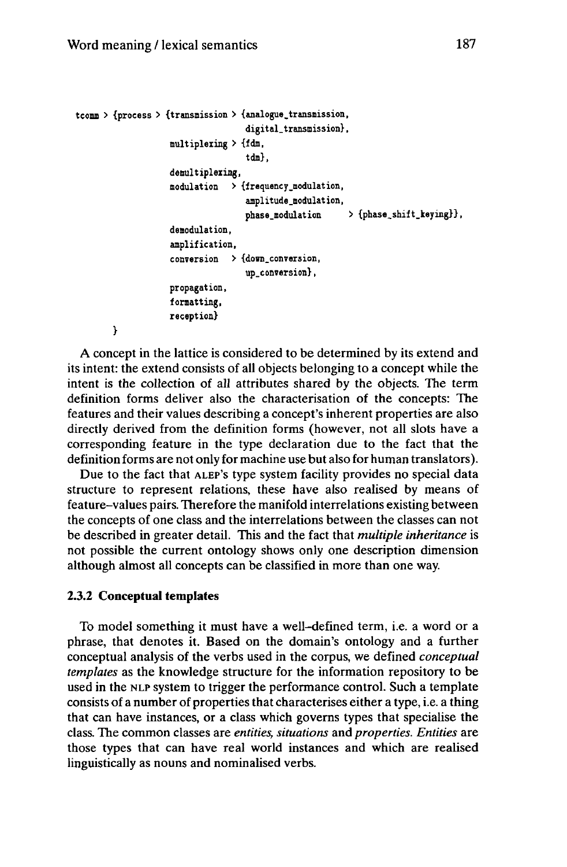```
tcomm > {process > {transmission > {analogue.transmission,
                                   digital.transmission},
                   multiplexing > {fdm,
                                   tdm},
                   demultiplexing,
                   modulation > {frequency.modulation,
                                   amplitude.modulâtion,
                                   phase.modulation > {phase_shift_keying}},
                   demodulation,
                    amplification,
                    conversion > {dom.conversion,
                                   up.conversion},
                   propagation,
                   formatting,
                   reception}
       }
```
A concept in the lattice is considered to be determined by its extend and its intent: the extend consists of all objects belonging to a concept while the intent is the collection of all attributes shared by the objects. The term definition forms deliver also the characterisation of the concepts: The features and their values describing a concept's inherent properties are also directly derived from the definition forms (however, not all slots have a corresponding feature in the type declaration due to the fact that the definition forms are not only for machine use but also for human translators).

Due to the fact that ALEP'S type system facility provides no special data structure to represent relations, these have also realised by means of feature-values pairs. Therefore the manifold interrelations existing between the concepts of one class and the interrelations between the classes can not be described in greater detail. This and the fact that *multiple inheritance* is not possible the current ontology shows only one description dimension although almost all concepts can be classified in more than one way.

#### **2.3.2 Conceptual templates**

To model something it must have a well-defined term, i.e. a word or a phrase, that denotes it. Based on the domain's ontology and a further conceptual analysis of the verbs used in the corpus, we defined *conceptual templates* as the knowledge structure for the information repository to be used in the NLP system to trigger the performance control. Such a template consists of a number of properties that characterises either a type, i.e. a thing that can have instances, or a class which governs types that specialise the class. The common classes are *entities, situations* and *properties. Entities* are those types that can have real world instances and which are realised linguistically as nouns and nominalised verbs.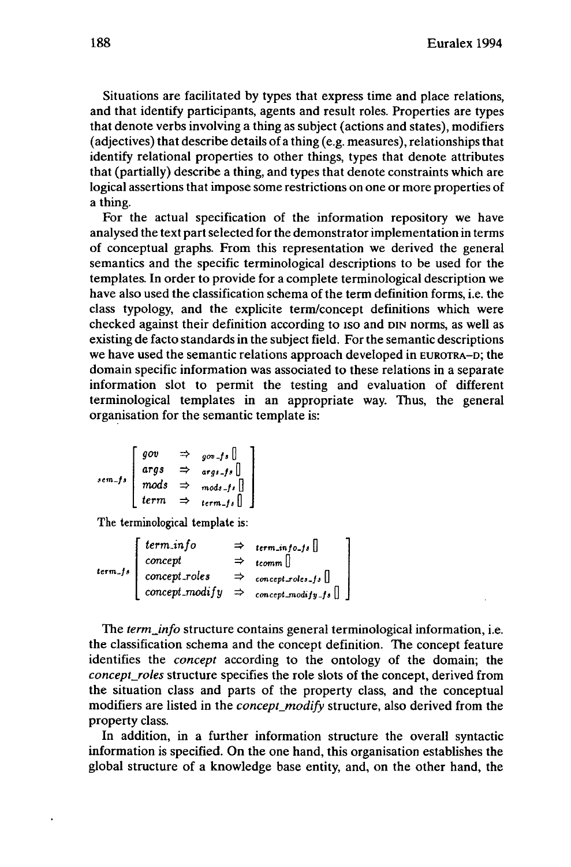Situations are facilitated by types that express time and place relations, and that identify participants, agents and result roles. Properties are types that denote verbs involving a thing as subject (actions and states), modifiers (adjectives) that describe details of a thing (e.g. measures), relationshipsthat identify relational properties to other things, types that denote attributes that (partially) describe a thing, and types that denote constraints which are logical assertions that impose some restrictions on one or more properties of a thing.

For the actual specification of the information repository we have analysed the text partselected forthe demonstratorimplementation in terms of conceptual graphs. From this representation we derived the general semantics and the specific terminological descriptions to be used for the templates. In order to provide for a complete terminological description we have also used the classification schema of the term definition forms, i.e. the class typology, and the explicite term/concept definitions which were checked against their definition according to iso and DIN norms, as well as existing de facto standards in the subject field. For the semantic descriptions we have used the semantic relations approach developed in EUROTRA-D; the domain specific information was associated to these relations in a separate information slot to permit the testing and evaluation of different terminological templates in an appropriate way. Thus, the general organisation for the semantic template is:

$$
sem\_fs \begin{bmatrix} gov & \Rightarrow & go \neg fs \\ args & \Rightarrow & args\_fs \\ mods & \Rightarrow & mods\_fs \\ \end{bmatrix}
$$
  
\n
$$
term \Rightarrow \begin{bmatrix} \text{terms} \\ \text{terms} \end{bmatrix}
$$

The terminological template is:

term-/a *termJnfo concept concept-roles concept-modify termJnjo-fs* <sup>U</sup> *tcomm* <sup>U</sup> *conccpt-rolcs-fs* <sup>U</sup> *concept-modify-fs*

The *term<sub>info</sub>* structure contains general terminological information, i.e. the classification schema and the concept definition. The concept feature identifies the *concept* according to the ontology of the domain; the *concept\_roles* structure specifies the role slots of the concept, derived from the situation class and parts of the property class, and the conceptual modifiers are listed in the *concept\_modify* structure, also derived from the property class.

In addition, in a further information structure the overall syntactic information is specified. On the one hand, this organisation establishes the global structure of a knowledge base entity, and, on the other hand, the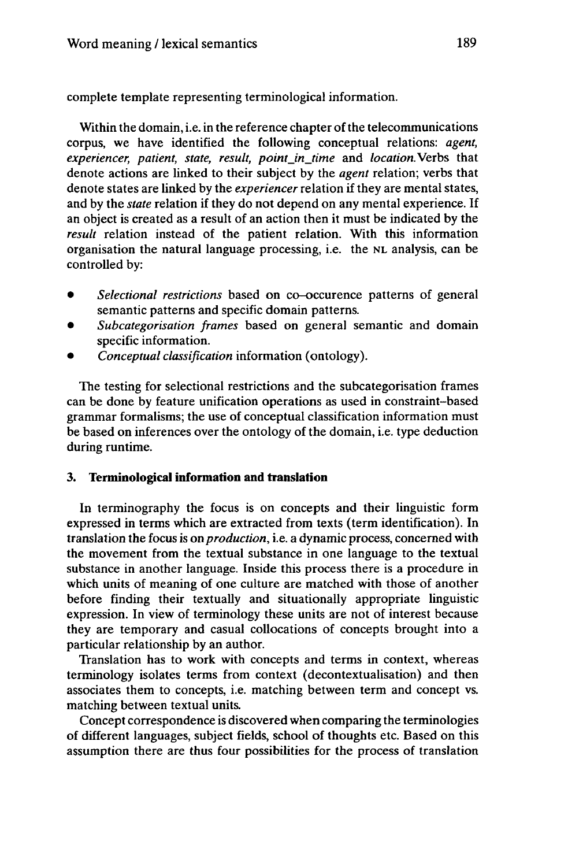complete template representing terminological information.

Within the domain, i.e. in the reference chapter of the telecommunications corpus, we have identified the following conceptual relations: *agent, experiencer, patient, state, result, point\_in\_time* and *location.*Verbs that denote actions are linked to their subject by the *agent* relation; verbs that denote states are linked by the *experiencer*relation if they are mental states, and by the *state* relation if they do not depend on any mental experience. If an object is created as a result of an action then it must be indicated by the *result* relation instead of the patient relation. With this information organisation the natural language processing, i.e. the NL analysis, can be controlled by:

- *Selectional restrictions* based on co-occurence patterns of general semantic patterns and specific domain patterns.
- *Subcategorisation frames* based on general semantic and domain specific information.
- *Conceptual classification* information (ontology).

The testing for selectional restrictions and the subcategorisation frames can be done by feature unification operations as used in constraint-based grammar formalisms; the use of conceptual classification information must be based on inferences over the ontology of the domain, i.e. type deduction during runtime.

## **3. Terminological information and translation**

In terminography the focus is on concepts and their linguistic form expressed in terms which are extracted from texts (term identification). In translation the focus is *onproduction,* i.e. a dynamic process, concerned with the movement from the textual substance in one language to the textual substance in another language. Inside this process there is a procedure in which units of meaning of one culture are matched with those of another before finding their textually and situationally appropriate linguistic expression. In view of terminology these units are not of interest because they are temporary and casual collocations of concepts brought into a particular relationship by an author.

Translation has to work with concepts and terms in context, whereas terminology isolates terms from context (decontextualisation) and then associates them to concepts, i.e. matching between term and concept vs. matching between textual units.

Concept correspondence is discovered when comparing the terminologies of different languages, subject fields, school of thoughts etc. Based on this assumption there are thus four possibilities for the process of translation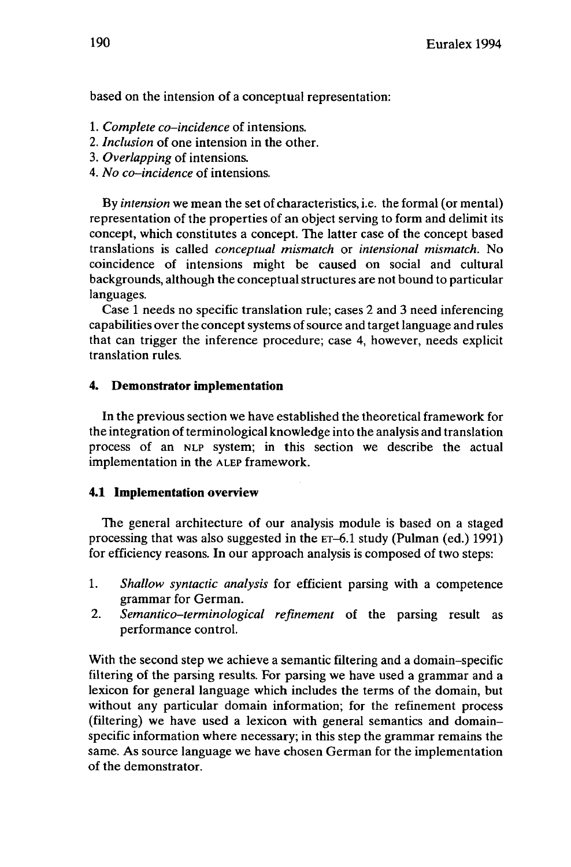based on the intension of a conceptual representation:

- 1. *Complete co-incidence* of intensions.
- 2. *Inclusion* of one intension in the other.
- 3. *Overlapping* of intensions.
- 4. *No co-incidence* of intensions.

By *intension* we mean the set of characteristics, i.e. the formal (or mental) representation of the properties of an object serving to form and delimit its concept, which constitutes a concept. The latter case of the concept based translations is called *conceptual mismatch* or *intensional mismatch.* No coincidence of intensions might be caused on social and cultural backgrounds, although the conceptualstructures are not bound to particular languages.

Case <sup>1</sup> needs no specific translation rule; cases 2 and 3 need inferencing capabilities over the concept systems of source and target language and rules that can trigger the inference procedure; case 4, however, needs explicit translation rules.

## **4. Demonstrator implementation**

In the previous section we have established the theoretical framework for the integration of terminological knowledge into the analysis and translation process of an NLP system; in this section we describe the actual implementation in the ALEP framework.

### **4.1 Implementation overview**

The general architecture of our analysis module is based on a staged processing that was also suggested in the ET-6.1 study (Pulman (ed.) 1991) for efficiency reasons. In our approach analysis is composed of two steps:

- 1. *Shallow syntactic analysis* for efficient parsing with a competence grammar for German.
- 2. *Semantico-terminological refinement* of the parsing result as performance control.

With the second step we achieve a semantic filtering and a domain-specific filtering of the parsing results. For parsing we have used a grammar and a lexicon for general language which includes the terms of the domain, but without any particular domain information; for the refinement process (filtering) we have used a lexicon with general semantics and domainspecific information where necessary; in this step the grammar remains the same. As source language we have chosen German for the implementation of the demonstrator.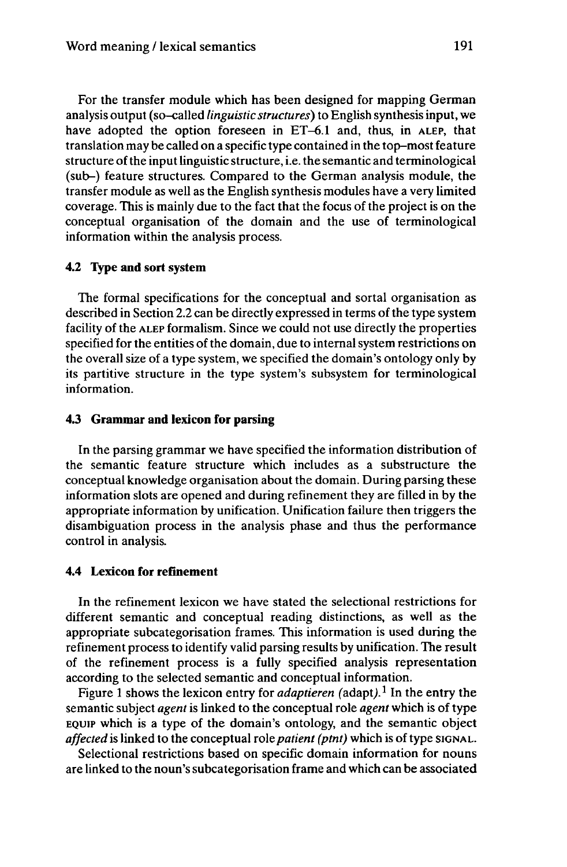For the transfer module which has been designed for mapping German analysis output (so-called *linguistic structures)* to English synthesis input, we have adopted the option foreseen in ET-6.1 and, thus, in ALEP, that translation may be called on a specific type contained in the top-most feature structure ofthe inputlinguistic structure, i.e. the semantic and terminological (sub-) feature structures. Compared to the German analysis module, the transfer module as well as the English synthesis modules have a very limited coverage. This is mainly due to the fact that the focus of the project is on the conceptual organisation of the domain and the use of terminological information within the analysis process.

## **4.2 Type and sort system**

The formal specifications for the conceptual and sortal organisation as described in Section 2.2 can be directly expressed in terms of the type system facility of the ALEP formalism. Since we could not use directly the properties specified for the entities of the domain, due to internal system restrictions on the overall size of a type system, we specified the domain's ontology only by its partitive structure in the type system's subsystem for terminological information.

## **4.3 Grammar and lexicon for parsing**

In the parsing grammar we have specified the information distribution of the semantic feature structure which includes as a substructure the conceptual knowledge organisation about the domain. During parsing these information slots are opened and during refinement they are filled in by the appropriate information by unification. Unification failure then triggers the disambiguation process in the analysis phase and thus the performance control in analysis.

## **4.4 Lexicon for refinement**

In the refinement lexicon we have stated the selectional restrictions for different semantic and conceptual reading distinctions, as well as the appropriate subcategorisation frames. This information is used during the refinement process to identify valid parsing results by unification. The result of the refinement process is a fully specified analysis representation according to the selected semantic and conceptual information.

Figure 1 shows the lexicon entry for *adaptieren* (adapt).<sup>1</sup> In the entry the semantic subject *agent* is linked to the conceptual role *agent* which is of type EQUIP which is a type of the domain's ontology, and the semantic object *affected* is linked to the conceptual role *patient* (*ptnt*) which is of type SIGNAL.

Selectional restrictions based on specific domain information for nouns are linked to the noun'ssubcategorisation frame and which can be associated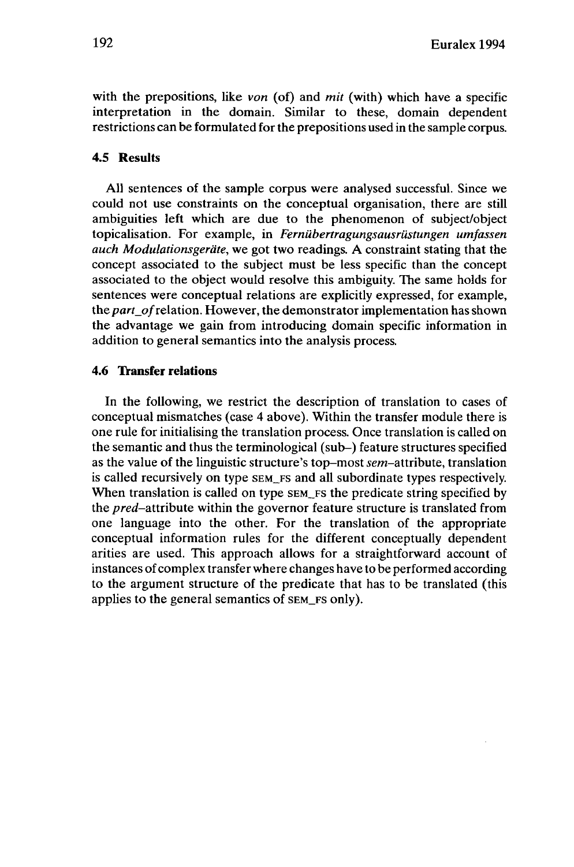with the prepositions, like *von* (of) and *mit* (with) which have a specific interpretation in the domain. Similar to these, domain dependent restrictions can be formulated forthe prepositions used in the sample corpus.

## **4.5 Results**

All sentences of the sample corpus were analysed successful. Since we could not use constraints on the conceptual organisation, there are still ambiguities left which are due to the phenomenon of subject/object topicalisation. For example, in *Fernübertragungsausrüstungen umfassen auch Modulationsgeräte,* we got two readings. A constraint stating that the concept associated to the subject must be less specific than the concept associated to the object would resolve this ambiguity. The same holds for sentences were conceptual relations are explicitly expressed, for example, the part\_of relation. However, the demonstrator implementation has shown the advantage we gain from introducing domain specific information in addition to general semantics into the analysis process.

#### **4.6 Transfer relations**

In the following, we restrict the description of translation to cases of conceptual mismatches (case 4 above). Within the transfer module there is one rule for initialising the translation process. Once translation is called on the semantic and thus the terminological (sub-) feature structures specified as the value of the linguistic structure's top-most *sem*-attribute, translation is called recursively on type SEM\_FS and all subordinate types respectively. When translation is called on type SEM\_FS the predicate string specified by the *pred-attiibute* within the governor feature structure is translated from one language into the other. For the translation of the appropriate conceptual information rules for the different conceptually dependent arities are used. This approach allows for a straightforward account of instances of complex transfer where changes have to be performed according to the argument structure of the predicate that has to be translated (this applies to the general semantics of SEM\_FS only).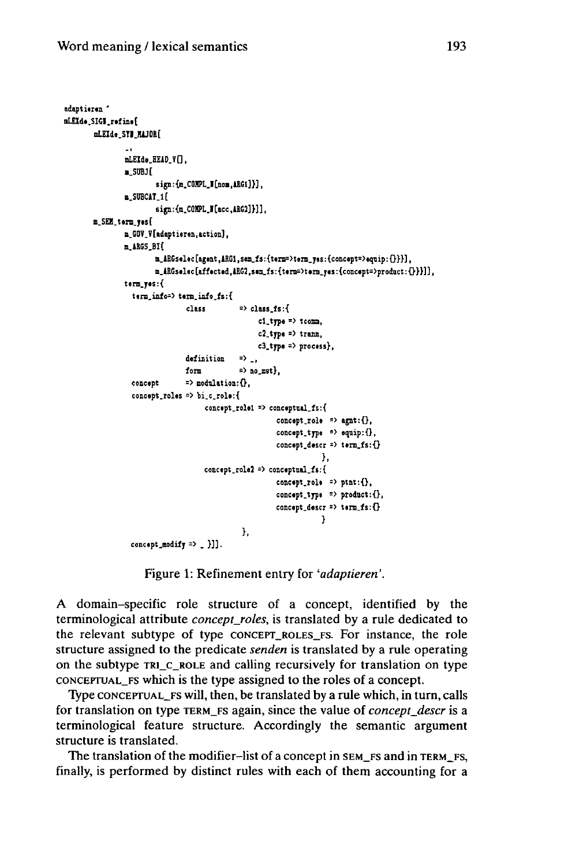```
adaptieren '
mLEId«.SIGI.r»fin.[
       mLEIde.STIJUJORl
               \simmLEId»_HElD_VG,
               •_SUBJ[
                       sign:{B.C01IPL_I[noa,lRGl]}J,
               B.SUBCiT.lf
                       sim: (m_CONPL_M[acc,ARG2]}]].
       B.SEH.teni.yesC
               n_GOV_V[adaptieren,action],
               m_»aGS_BI[
                       m\_ABGselect[agent, ABC1, sem\_fs: {term=} > {term\_ys: {(concept=} >{equip: }\{})\}m.iBGselec [affacted,1RG2,sea_ls: {tersOtera.yes : {concept=>prodnct : 0}}]],
               tenn_yes:{
                 term_inio=> t«m_info_fs:{
                               class => dsss.fs:{
                                                 cl.type => tconsa,
                                                 c2_type => tram»,
                                                 c3_type => process},
                               dafinition => .,
                               form => no.m«t},
                 concept => modulation:Oi
                 concept.roles => bi.c.role:{
                                    concept_rol«l => conceptual_fs:{
                                                      concept_rol» => ajnt:{},
                                                      concept.tjpe => equip:{},
                                                      concept.descr => term_fs:{}
                                                                  },
                                   concept.role2 => coneeptoal.fs:{
                                                      concept.role => ptnt:{},
                                                      concept.tjpe => product:ö,
                                                      concept.descr => term.fs:{}
                                                                 }
                                             },
                 concept.Bodify => _ }]].
```
Figure 1: Refinement entry for *'adaptieren'.*

A domain-specific role structure of a concept, identified by the terminological attribute *concept\_roles,* is translated by a rule dedicated to the relevant subtype of type CONCEPT\_ROLES\_FS. For instance, the role structure assigned to the predicate *senden* is translated by a rule operating on the subtype TRI\_C\_ROLE and calling recursively for translation on type CONCEPTUAL\_FS which is the type assigned to the roles of a concept.

Type CONCEPTUAL\_FS will, then, be translated by a rule which, in turn, calls for translation on type TERM\_FS again, since the value of *concept\_descr* is a terminological feature structure. Accordingly the semantic argument structure is translated.

The translation of the modifier-list of a concept in SEM\_FS and in TERM\_FS, finally, is performed by distinct rules with each of them accounting for a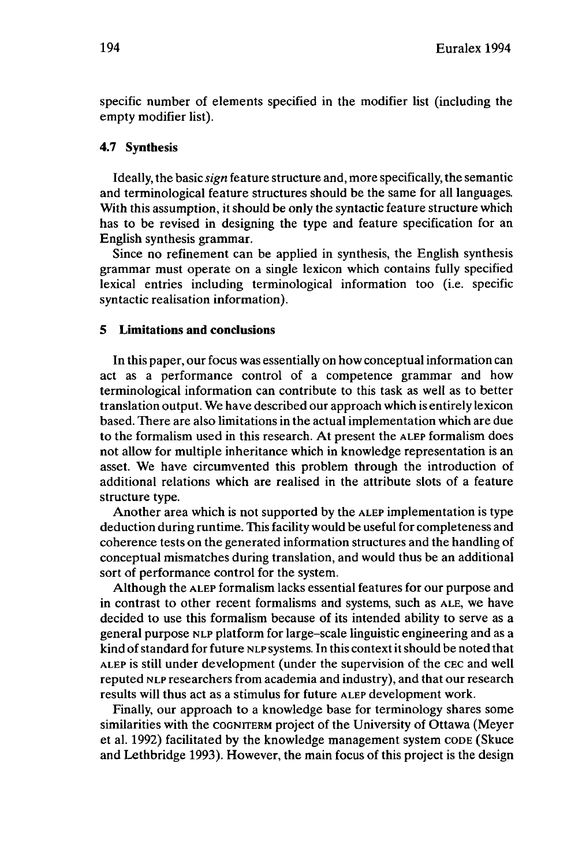specific number of elements specified in the modifier list (including the empty modifier list).

## **4.7 Synthesis**

Ideally, the basic *sign* feature structure and, more specifically, the semantic and terminological feature structures should be the same for all languages. With this assumption, it should be only the syntactic feature structure which has to be revised in designing the type and feature specification for an English synthesis grammar.

Since no refinement can be applied in synthesis, the English synthesis grammar must operate on a single lexicon which contains fully specified lexical entries including terminological information too (i.e. specific syntactic realisation information).

## **5 Limitations and conclusions**

In this paper, our focus was essentially on how conceptual information can act as a performance control of a competence grammar and how terminological information can contribute to this task as well as to better translation output. We have described our approach which is entirely lexicon based. There are also limitations in the actual implementation which are due to the formalism used in this research. At present the ALEP formalism does not allow for multiple inheritance which in knowledge representation is an asset. We have circumvented this problem through the introduction of additional relations which are realised in the attribute slots of a feature structure type.

Another area which is not supported by the ALEP implementation is type deduction during runtime. This facility would be useful for completeness and coherence tests on the generated information structures and the handling of conceptual mismatches during translation, and would thus be an additional sort of performance control for the system.

Although the ALEP formalism lacks essential features for our purpose and in contrast to other recent formalisms and systems, such as ALE, we have decided to use this formalism because of its intended ability to serve as a general purpose NLP platform for large-scale linguistic engineering and as a kind ofstandard for future NLP systems. In this contextitshould be noted that ALEP is still under development (under the supervision of the CEC and well reputed NLP researchers from academia and industry), and that our research results will thus act as a stimulus for future ALEP development work.

Finally, our approach to a knowledge base for terminology shares some similarities with the COGNITERM project of the University of Ottawa (Meyer et al. 1992) facilitated by the knowledge management system CODE (Skuce and Lethbridge 1993). However, the main focus of this project is the design